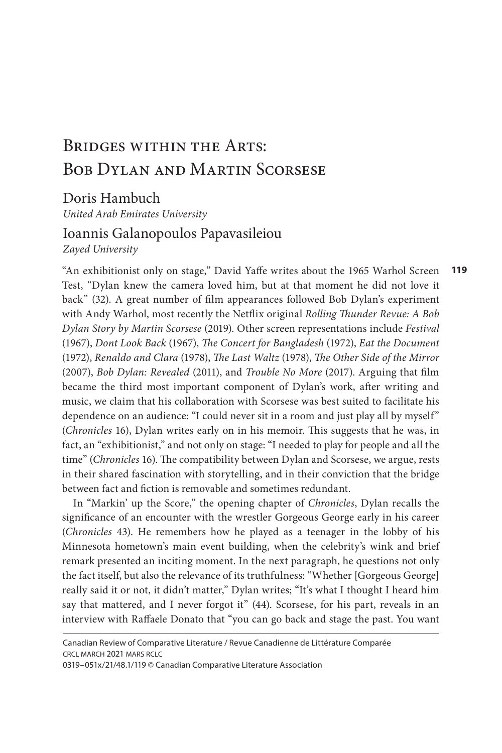# Bridges within the Arts: Bob Dylan and Martin Scorsese

Doris Hambuch

*United Arab Emirates University* 

## Ioannis Galanopoulos Papavasileiou

*Zayed University*

**119** "An exhibitionist only on stage," David Yaffe writes about the 1965 Warhol Screen Test, "Dylan knew the camera loved him, but at that moment he did not love it back" (32). A great number of film appearances followed Bob Dylan's experiment with Andy Warhol, most recently the Netflix original *Rolling Thunder Revue: A Bob Dylan Story by Martin Scorsese* (2019). Other screen representations include *Festival*  (1967), *Dont Look Back* (1967), *The Concert for Bangladesh* (1972), *Eat the Document*  (1972), *Renaldo and Clara* (1978), *The Last Waltz* (1978), *The Other Side of the Mirror*  (2007), *Bob Dylan: Revealed* (2011), and *Trouble No More* (2017). Arguing that film became the third most important component of Dylan's work, after writing and music, we claim that his collaboration with Scorsese was best suited to facilitate his dependence on an audience: "I could never sit in a room and just play all by myself" (*Chronicles* 16), Dylan writes early on in his memoir. This suggests that he was, in fact, an "exhibitionist," and not only on stage: "I needed to play for people and all the time" (*Chronicles* 16). The compatibility between Dylan and Scorsese, we argue, rests in their shared fascination with storytelling, and in their conviction that the bridge between fact and fiction is removable and sometimes redundant.

In "Markin' up the Score," the opening chapter of *Chronicles*, Dylan recalls the significance of an encounter with the wrestler Gorgeous George early in his career (*Chronicles* 43). He remembers how he played as a teenager in the lobby of his Minnesota hometown's main event building, when the celebrity's wink and brief remark presented an inciting moment. In the next paragraph, he questions not only the fact itself, but also the relevance of its truthfulness: "Whether [Gorgeous George] really said it or not, it didn't matter," Dylan writes; "It's what I thought I heard him say that mattered, and I never forgot it" (44). Scorsese, for his part, reveals in an interview with Raffaele Donato that "you can go back and stage the past. You want

0319–051x/21/48.1/119 © Canadian Comparative Literature Association

Canadian Review of Comparative Literature / Revue Canadienne de Littérature Comparée crcl march 2021 mars rclc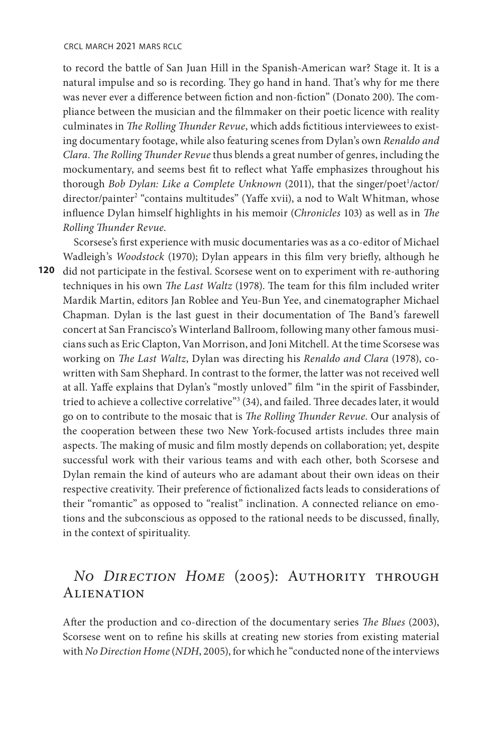to record the battle of San Juan Hill in the Spanish-American war? Stage it. It is a natural impulse and so is recording. They go hand in hand. That's why for me there was never ever a difference between fiction and non-fiction" (Donato 200). The compliance between the musician and the filmmaker on their poetic licence with reality culminates in *The Rolling Thunder Revue*, which adds fictitious interviewees to existing documentary footage, while also featuring scenes from Dylan's own *Renaldo and Clara. The Rolling Thunder Revue* thus blends a great number of genres, including the mockumentary, and seems best fit to reflect what Yaffe emphasizes throughout his thorough *Bob Dylan: Like a Complete Unknown* (2011), that the singer/poet<sup>1</sup>/actor/ director/painter<sup>2</sup> "contains multitudes" (Yaffe xvii), a nod to Walt Whitman, whose influence Dylan himself highlights in his memoir (*Chronicles* 103) as well as in *The Rolling Thunder Revue*.

**120**  did not participate in the festival. Scorsese went on to experiment with re-authoring Scorsese's first experience with music documentaries was as a co-editor of Michael Wadleigh's *Woodstock* (1970); Dylan appears in this film very briefly, although he techniques in his own *The Last Waltz* (1978). The team for this film included writer Mardik Martin, editors Jan Roblee and Yeu-Bun Yee, and cinematographer Michael Chapman. Dylan is the last guest in their documentation of The Band's farewell concert at San Francisco's Winterland Ballroom, following many other famous musicians such as Eric Clapton, Van Morrison, and Joni Mitchell. At the time Scorsese was working on *The Last Waltz*, Dylan was directing his *Renaldo and Clara* (1978), cowritten with Sam Shephard. In contrast to the former, the latter was not received well at all. Yaffe explains that Dylan's "mostly unloved" film "in the spirit of Fassbinder, tried to achieve a collective correlative"<sup>3</sup> (34), and failed. Three decades later, it would go on to contribute to the mosaic that is *The Rolling Thunder Revue.* Our analysis of the cooperation between these two New York-focused artists includes three main aspects. The making of music and film mostly depends on collaboration; yet, despite successful work with their various teams and with each other, both Scorsese and Dylan remain the kind of auteurs who are adamant about their own ideas on their respective creativity. Their preference of fictionalized facts leads to considerations of their "romantic" as opposed to "realist" inclination. A connected reliance on emotions and the subconscious as opposed to the rational needs to be discussed, finally, in the context of spirituality.

## *No Direction Home* (2005): Authority through **ALIENATION**

After the production and co-direction of the documentary series *The Blues* (2003), Scorsese went on to refine his skills at creating new stories from existing material with *No Direction Home* (*NDH*, 2005), for which he "conducted none of the interviews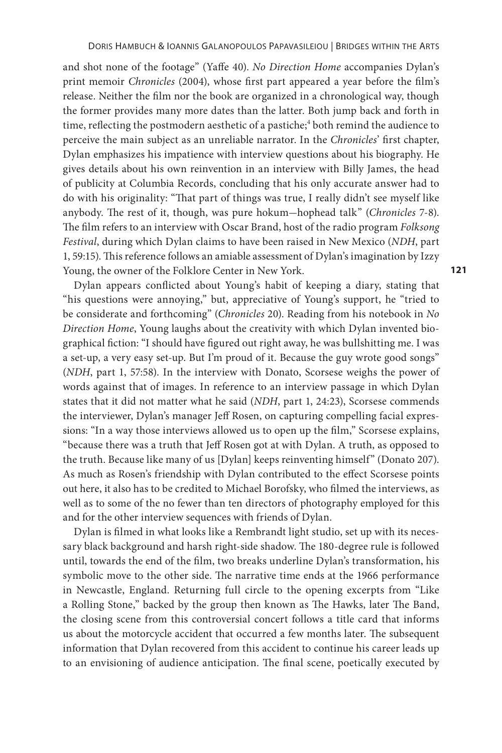and shot none of the footage" (Yaffe 40). *No Direction Home* accompanies Dylan's print memoir *Chronicles* (2004), whose first part appeared a year before the film's release. Neither the film nor the book are organized in a chronological way, though the former provides many more dates than the latter. Both jump back and forth in time, reflecting the postmodern aesthetic of a pastiche;<sup>4</sup> both remind the audience to perceive the main subject as an unreliable narrator. In the *Chronicles*' first chapter, Dylan emphasizes his impatience with interview questions about his biography. He gives details about his own reinvention in an interview with Billy James, the head of publicity at Columbia Records, concluding that his only accurate answer had to do with his originality: "That part of things was true, I really didn't see myself like anybody. The rest of it, though, was pure hokum-hophead talk" (*Chronicles* 7-8). The film refers to an interview with Oscar Brand, host of the radio program *Folksong Festival*, during which Dylan claims to have been raised in New Mexico (*NDH*, part 1, 59:15). This reference follows an amiable assessment of Dylan's imagination by Izzy Young, the owner of the Folklore Center in New York.

Dylan appears conflicted about Young's habit of keeping a diary, stating that "his questions were annoying," but, appreciative of Young's support, he "tried to be considerate and forthcoming" (*Chronicles* 20). Reading from his notebook in *No Direction Home*, Young laughs about the creativity with which Dylan invented biographical fiction: "I should have figured out right away, he was bullshitting me. I was a set-up, a very easy set-up. But I'm proud of it. Because the guy wrote good songs" (*NDH*, part 1, 57:58). In the interview with Donato, Scorsese weighs the power of words against that of images. In reference to an interview passage in which Dylan states that it did not matter what he said (*NDH*, part 1, 24:23), Scorsese commends the interviewer, Dylan's manager Jeff Rosen, on capturing compelling facial expressions: "In a way those interviews allowed us to open up the film," Scorsese explains, "because there was a truth that Jeff Rosen got at with Dylan. A truth, as opposed to the truth. Because like many of us [Dylan] keeps reinventing himself" (Donato 207). As much as Rosen's friendship with Dylan contributed to the effect Scorsese points out here, it also has to be credited to Michael Borofsky, who filmed the interviews, as well as to some of the no fewer than ten directors of photography employed for this and for the other interview sequences with friends of Dylan.

Dylan is filmed in what looks like a Rembrandt light studio, set up with its necessary black background and harsh right-side shadow. The 180-degree rule is followed until, towards the end of the film, two breaks underline Dylan's transformation, his symbolic move to the other side. The narrative time ends at the 1966 performance in Newcastle, England. Returning full circle to the opening excerpts from "Like a Rolling Stone," backed by the group then known as The Hawks, later The Band, the closing scene from this controversial concert follows a title card that informs us about the motorcycle accident that occurred a few months later. The subsequent information that Dylan recovered from this accident to continue his career leads up to an envisioning of audience anticipation. The final scene, poetically executed by

**121**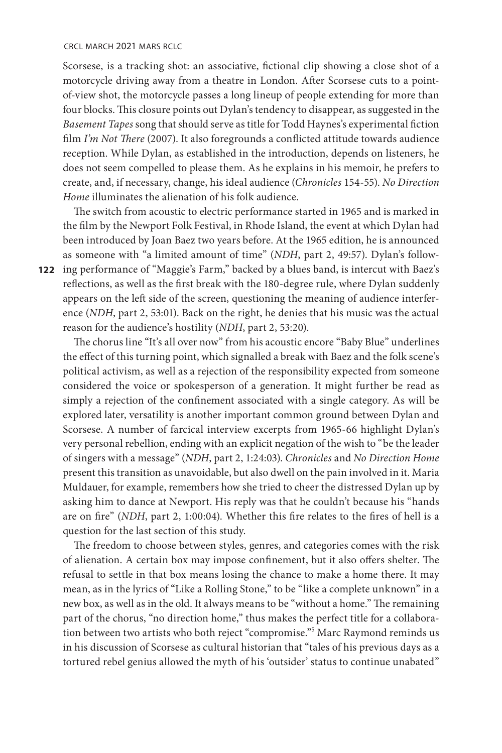#### crcl march 2021 mars rclc

Scorsese, is a tracking shot: an associative, fictional clip showing a close shot of a motorcycle driving away from a theatre in London. After Scorsese cuts to a pointof-view shot, the motorcycle passes a long lineup of people extending for more than four blocks. This closure points out Dylan's tendency to disappear, as suggested in the *Basement Tapes* song that should serve as title for Todd Haynes's experimental fiction film *I'm Not There* (2007). It also foregrounds a conflicted attitude towards audience reception. While Dylan, as established in the introduction, depends on listeners, he does not seem compelled to please them. As he explains in his memoir, he prefers to create, and, if necessary, change, his ideal audience (*Chronicles* 154-55). *No Direction Home* illuminates the alienation of his folk audience.

**122**  ing performance of "Maggie's Farm," backed by a blues band, is intercut with Baez's The switch from acoustic to electric performance started in 1965 and is marked in the film by the Newport Folk Festival, in Rhode Island, the event at which Dylan had been introduced by Joan Baez two years before. At the 1965 edition, he is announced as someone with "a limited amount of time" (*NDH*, part 2, 49:57). Dylan's followreflections, as well as the first break with the 180-degree rule, where Dylan suddenly appears on the left side of the screen, questioning the meaning of audience interference (*NDH*, part 2, 53:01). Back on the right, he denies that his music was the actual reason for the audience's hostility (*NDH*, part 2, 53:20).

The chorus line "It's all over now" from his acoustic encore "Baby Blue" underlines the effect of this turning point, which signalled a break with Baez and the folk scene's political activism, as well as a rejection of the responsibility expected from someone considered the voice or spokesperson of a generation. It might further be read as simply a rejection of the confinement associated with a single category. As will be explored later, versatility is another important common ground between Dylan and Scorsese. A number of farcical interview excerpts from 1965-66 highlight Dylan's very personal rebellion, ending with an explicit negation of the wish to "be the leader of singers with a message" (*NDH*, part 2, 1:24:03). *Chronicles* and *No Direction Home*  present this transition as unavoidable, but also dwell on the pain involved in it. Maria Muldauer, for example, remembers how she tried to cheer the distressed Dylan up by asking him to dance at Newport. His reply was that he couldn't because his "hands are on fire" (*NDH*, part 2, 1:00:04). Whether this fire relates to the fires of hell is a question for the last section of this study.

The freedom to choose between styles, genres, and categories comes with the risk of alienation. A certain box may impose confinement, but it also offers shelter. The refusal to settle in that box means losing the chance to make a home there. It may mean, as in the lyrics of "Like a Rolling Stone," to be "like a complete unknown" in a new box, as well as in the old. It always means to be "without a home." The remaining part of the chorus, "no direction home," thus makes the perfect title for a collaboration between two artists who both reject "compromise."5 Marc Raymond reminds us in his discussion of Scorsese as cultural historian that "tales of his previous days as a tortured rebel genius allowed the myth of his 'outsider' status to continue unabated"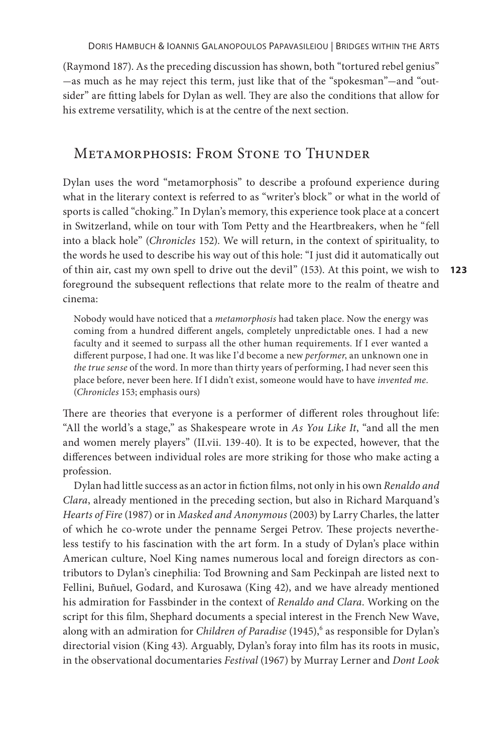(Raymond 187). As the preceding discussion has shown, both "tortured rebel genius" -as much as he may reject this term, just like that of the "spokesman"-and "outsider" are fitting labels for Dylan as well. They are also the conditions that allow for his extreme versatility, which is at the centre of the next section.

### Metamorphosis: From Stone to Thunder

**123** of thin air, cast my own spell to drive out the devil" (153). At this point, we wish to Dylan uses the word "metamorphosis" to describe a profound experience during what in the literary context is referred to as "writer's block" or what in the world of sports is called "choking." In Dylan's memory, this experience took place at a concert in Switzerland, while on tour with Tom Petty and the Heartbreakers, when he "fell into a black hole" (*Chronicles* 152). We will return, in the context of spirituality, to the words he used to describe his way out of this hole: "I just did it automatically out foreground the subsequent reflections that relate more to the realm of theatre and cinema:

Nobody would have noticed that a *metamorphosis* had taken place. Now the energy was coming from a hundred different angels, completely unpredictable ones. I had a new faculty and it seemed to surpass all the other human requirements. If I ever wanted a different purpose, I had one. It was like I'd become a new *performer*, an unknown one in *the true sense* of the word. In more than thirty years of performing, I had never seen this place before, never been here. If I didn't exist, someone would have to have *invented me*. (*Chronicles* 153; emphasis ours)

There are theories that everyone is a performer of different roles throughout life: "All the world's a stage," as Shakespeare wrote in *As You Like It*, "and all the men and women merely players" (II.vii. 139-40). It is to be expected, however, that the differences between individual roles are more striking for those who make acting a profession.

Dylan had little success as an actor in fiction films, not only in his own *Renaldo and Clara*, already mentioned in the preceding section, but also in Richard Marquand's *Hearts of Fire* (1987) or in *Masked and Anonymous* (2003) by Larry Charles, the latter of which he co-wrote under the penname Sergei Petrov. These projects nevertheless testify to his fascination with the art form. In a study of Dylan's place within American culture, Noel King names numerous local and foreign directors as contributors to Dylan's cinephilia: Tod Browning and Sam Peckinpah are listed next to Fellini, Buñuel, Godard, and Kurosawa (King 42), and we have already mentioned his admiration for Fassbinder in the context of *Renaldo and Clara*. Working on the script for this film, Shephard documents a special interest in the French New Wave, along with an admiration for *Children of Paradise* (1945),<sup>6</sup> as responsible for Dylan's directorial vision (King 43). Arguably, Dylan's foray into film has its roots in music, in the observational documentaries *Festival* (1967) by Murray Lerner and *Dont Look*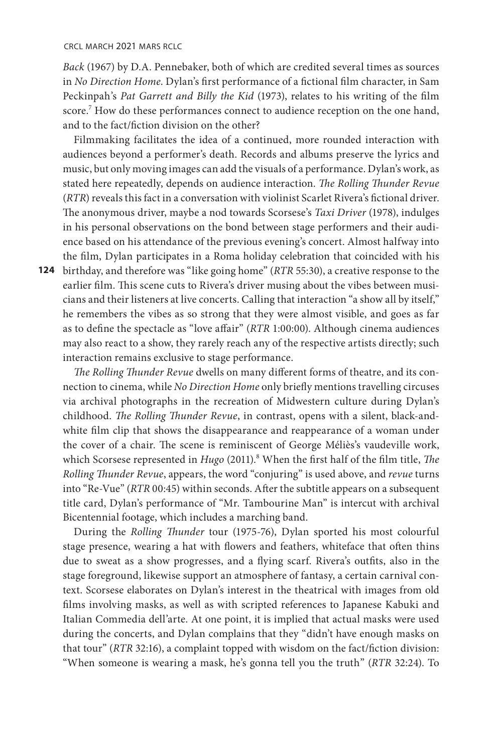*Back* (1967) by D.A. Pennebaker, both of which are credited several times as sources in *No Direction Home*. Dylan's first performance of a fictional film character, in Sam Peckinpah's *Pat Garrett and Billy the Kid* (1973), relates to his writing of the film score.<sup>7</sup> How do these performances connect to audience reception on the one hand, and to the fact/fiction division on the other?

Filmmaking facilitates the idea of a continued, more rounded interaction with audiences beyond a performer's death. Records and albums preserve the lyrics and music, but only moving images can add the visuals of a performance. Dylan's work, as stated here repeatedly, depends on audience interaction. *The Rolling Thunder Revue* (*RTR*) reveals this fact in a conversation with violinist Scarlet Rivera's fictional driver. The anonymous driver, maybe a nod towards Scorsese's *Taxi Driver* (1978), indulges in his personal observations on the bond between stage performers and their audience based on his attendance of the previous evening's concert. Almost halfway into the film, Dylan participates in a Roma holiday celebration that coincided with his

**124**  birthday, and therefore was "like going home" (*RTR* 55:30), a creative response to the earlier film. This scene cuts to Rivera's driver musing about the vibes between musicians and their listeners at live concerts. Calling that interaction "a show all by itself," he remembers the vibes as so strong that they were almost visible, and goes as far as to define the spectacle as "love affair" (*RTR* 1:00:00). Although cinema audiences may also react to a show, they rarely reach any of the respective artists directly; such interaction remains exclusive to stage performance.

*The Rolling Thunder Revue* dwells on many different forms of theatre, and its connection to cinema, while *No Direction Home* only briefly mentions travelling circuses via archival photographs in the recreation of Midwestern culture during Dylan's childhood. *The Rolling Thunder Revue*, in contrast, opens with a silent, black-andwhite film clip that shows the disappearance and reappearance of a woman under the cover of a chair. The scene is reminiscent of George Méliès's vaudeville work, which Scorsese represented in *Hugo* (2011).<sup>8</sup> When the first half of the film title, *The Rolling Thunder Revue*, appears, the word "conjuring" is used above, and *revue* turns into "Re-Vue" (*RTR* 00:45) within seconds. After the subtitle appears on a subsequent title card, Dylan's performance of "Mr. Tambourine Man" is intercut with archival Bicentennial footage, which includes a marching band.

During the *Rolling Thunder* tour (1975-76), Dylan sported his most colourful stage presence, wearing a hat with flowers and feathers, whiteface that often thins due to sweat as a show progresses, and a flying scarf. Rivera's outfits, also in the stage foreground, likewise support an atmosphere of fantasy, a certain carnival context. Scorsese elaborates on Dylan's interest in the theatrical with images from old films involving masks, as well as with scripted references to Japanese Kabuki and Italian Commedia dell'arte. At one point, it is implied that actual masks were used during the concerts, and Dylan complains that they "didn't have enough masks on that tour" (*RTR* 32:16), a complaint topped with wisdom on the fact/fiction division: "When someone is wearing a mask, he's gonna tell you the truth" (*RTR* 32:24). To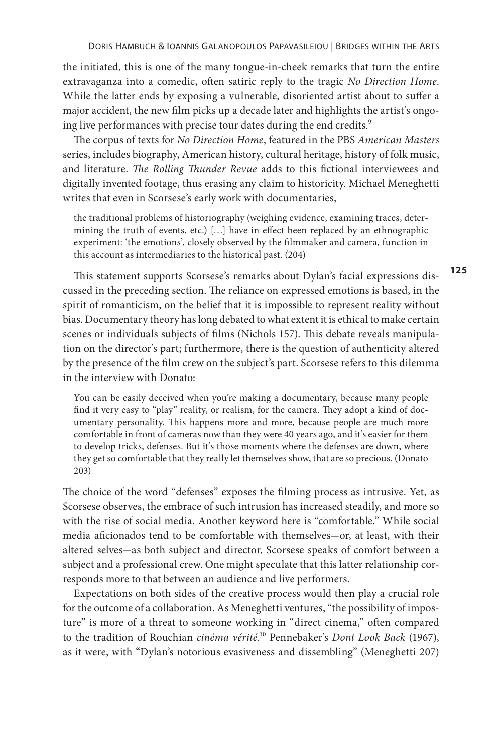the initiated, this is one of the many tongue-in-cheek remarks that turn the entire extravaganza into a comedic, often satiric reply to the tragic *No Direction Home*. While the latter ends by exposing a vulnerable, disoriented artist about to suffer a major accident, the new film picks up a decade later and highlights the artist's ongoing live performances with precise tour dates during the end credits. $9$ 

The corpus of texts for *No Direction Home*, featured in the PBS *American Masters*  series, includes biography, American history, cultural heritage, history of folk music, and literature. *The Rolling Thunder Revue* adds to this fictional interviewees and digitally invented footage, thus erasing any claim to historicity. Michael Meneghetti writes that even in Scorsese's early work with documentaries,

the traditional problems of historiography (weighing evidence, examining traces, determining the truth of events, etc.) […] have in effect been replaced by an ethnographic experiment: 'the emotions', closely observed by the filmmaker and camera, function in this account as intermediaries to the historical past. (204)

This statement supports Scorsese's remarks about Dylan's facial expressions discussed in the preceding section. The reliance on expressed emotions is based, in the spirit of romanticism, on the belief that it is impossible to represent reality without bias. Documentary theory has long debated to what extent it is ethical to make certain scenes or individuals subjects of films (Nichols 157). This debate reveals manipulation on the director's part; furthermore, there is the question of authenticity altered by the presence of the film crew on the subject's part. Scorsese refers to this dilemma in the interview with Donato:

You can be easily deceived when you're making a documentary, because many people find it very easy to "play" reality, or realism, for the camera. They adopt a kind of documentary personality. This happens more and more, because people are much more comfortable in front of cameras now than they were 40 years ago, and it's easier for them to develop tricks, defenses. But it's those moments where the defenses are down, where they get so comfortable that they really let themselves show, that are so precious. (Donato 203)

The choice of the word "defenses" exposes the filming process as intrusive. Yet, as Scorsese observes, the embrace of such intrusion has increased steadily, and more so with the rise of social media. Another keyword here is "comfortable." While social media aficionados tend to be comfortable with themselves-or, at least, with their altered selves-as both subject and director, Scorsese speaks of comfort between a subject and a professional crew. One might speculate that this latter relationship corresponds more to that between an audience and live performers.

Expectations on both sides of the creative process would then play a crucial role for the outcome of a collaboration. As Meneghetti ventures, "the possibility of imposture" is more of a threat to someone working in "direct cinema," often compared to the tradition of Rouchian *cinéma vérité*.<sup>10</sup> Pennebaker's *Dont Look Back* (1967), as it were, with "Dylan's notorious evasiveness and dissembling" (Meneghetti 207)

**125**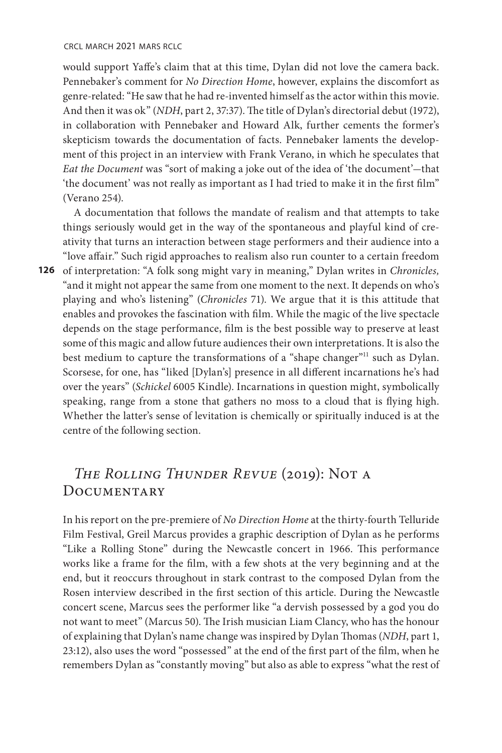crcl march 2021 mars rclc

would support Yaffe's claim that at this time, Dylan did not love the camera back. Pennebaker's comment for *No Direction Home*, however, explains the discomfort as genre-related: "He saw that he had re-invented himself as the actor within this movie. And then it was ok" (*NDH*, part 2, 37:37). The title of Dylan's directorial debut (1972), in collaboration with Pennebaker and Howard Alk, further cements the former's skepticism towards the documentation of facts. Pennebaker laments the development of this project in an interview with Frank Verano, in which he speculates that *Eat the Document* was "sort of making a joke out of the idea of 'the document'-that 'the document' was not really as important as I had tried to make it in the first film" (Verano 254).

A documentation that follows the mandate of realism and that attempts to take things seriously would get in the way of the spontaneous and playful kind of creativity that turns an interaction between stage performers and their audience into a "love affair." Such rigid approaches to realism also run counter to a certain freedom

**126**  of interpretation: "A folk song might vary in meaning," Dylan writes in *Chronicles,*  "and it might not appear the same from one moment to the next. It depends on who's playing and who's listening" (*Chronicles* 71). We argue that it is this attitude that enables and provokes the fascination with film. While the magic of the live spectacle depends on the stage performance, film is the best possible way to preserve at least some of this magic and allow future audiences their own interpretations. It is also the best medium to capture the transformations of a "shape changer"<sup>11</sup> such as Dylan. Scorsese, for one, has "liked [Dylan's] presence in all different incarnations he's had over the years" (*Schickel* 6005 Kindle). Incarnations in question might, symbolically speaking, range from a stone that gathers no moss to a cloud that is flying high. Whether the latter's sense of levitation is chemically or spiritually induced is at the centre of the following section.

## *The Rolling Thunder Revue* (2019): Not a DOCUMENTARY

In his report on the pre-premiere of *No Direction Home* at the thirty-fourth Telluride Film Festival, Greil Marcus provides a graphic description of Dylan as he performs "Like a Rolling Stone" during the Newcastle concert in 1966. This performance works like a frame for the film, with a few shots at the very beginning and at the end, but it reoccurs throughout in stark contrast to the composed Dylan from the Rosen interview described in the first section of this article. During the Newcastle concert scene, Marcus sees the performer like "a dervish possessed by a god you do not want to meet" (Marcus 50). The Irish musician Liam Clancy, who has the honour of explaining that Dylan's name change was inspired by Dylan Thomas (*NDH*, part 1, 23:12), also uses the word "possessed" at the end of the first part of the film, when he remembers Dylan as "constantly moving" but also as able to express "what the rest of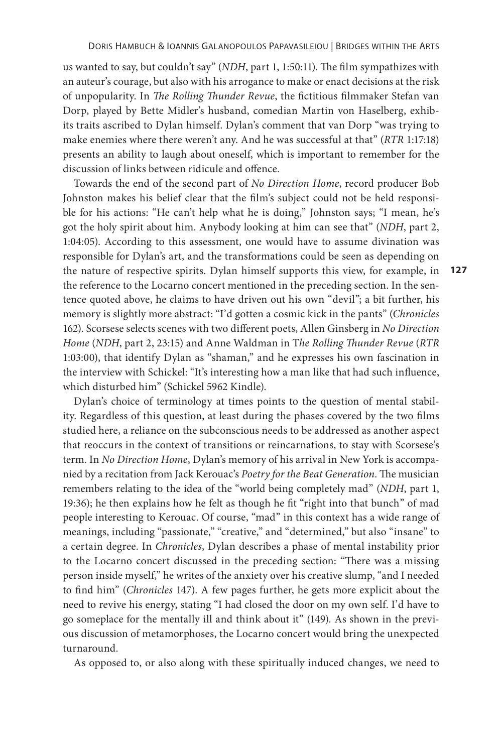us wanted to say, but couldn't say" (*NDH*, part 1, 1:50:11). The film sympathizes with an auteur's courage, but also with his arrogance to make or enact decisions at the risk of unpopularity. In *The Rolling Thunder Revue*, the fictitious filmmaker Stefan van Dorp, played by Bette Midler's husband, comedian Martin von Haselberg, exhibits traits ascribed to Dylan himself. Dylan's comment that van Dorp "was trying to make enemies where there weren't any. And he was successful at that" (*RTR* 1:17:18) presents an ability to laugh about oneself, which is important to remember for the discussion of links between ridicule and offence.

Towards the end of the second part of *No Direction Home*, record producer Bob Johnston makes his belief clear that the film's subject could not be held responsible for his actions: "He can't help what he is doing," Johnston says; "I mean, he's got the holy spirit about him. Anybody looking at him can see that" (*NDH*, part 2, 1:04:05). According to this assessment, one would have to assume divination was responsible for Dylan's art, and the transformations could be seen as depending on the nature of respective spirits. Dylan himself supports this view, for example, in the reference to the Locarno concert mentioned in the preceding section. In the sentence quoted above, he claims to have driven out his own "devil"; a bit further, his memory is slightly more abstract: "I'd gotten a cosmic kick in the pants" (*Chronicles*  162). Scorsese selects scenes with two different poets, Allen Ginsberg in *No Direction Home* (*NDH*, part 2, 23:15) and Anne Waldman in T*he Rolling Thunder Revue* (*RTR*  1:03:00), that identify Dylan as "shaman," and he expresses his own fascination in the interview with Schickel: "It's interesting how a man like that had such influence, which disturbed him" (Schickel 5962 Kindle).

**127**

Dylan's choice of terminology at times points to the question of mental stability. Regardless of this question, at least during the phases covered by the two films studied here, a reliance on the subconscious needs to be addressed as another aspect that reoccurs in the context of transitions or reincarnations, to stay with Scorsese's term. In *No Direction Home*, Dylan's memory of his arrival in New York is accompanied by a recitation from Jack Kerouac's *Poetry for the Beat Generation*. The musician remembers relating to the idea of the "world being completely mad" (*NDH*, part 1, 19:36); he then explains how he felt as though he fit "right into that bunch" of mad people interesting to Kerouac. Of course, "mad" in this context has a wide range of meanings, including "passionate," "creative," and "determined," but also "insane" to a certain degree. In *Chronicles*, Dylan describes a phase of mental instability prior to the Locarno concert discussed in the preceding section: "There was a missing person inside myself," he writes of the anxiety over his creative slump, "and I needed to find him" (*Chronicles* 147). A few pages further, he gets more explicit about the need to revive his energy, stating "I had closed the door on my own self. I'd have to go someplace for the mentally ill and think about it" (149). As shown in the previous discussion of metamorphoses, the Locarno concert would bring the unexpected turnaround.

As opposed to, or also along with these spiritually induced changes, we need to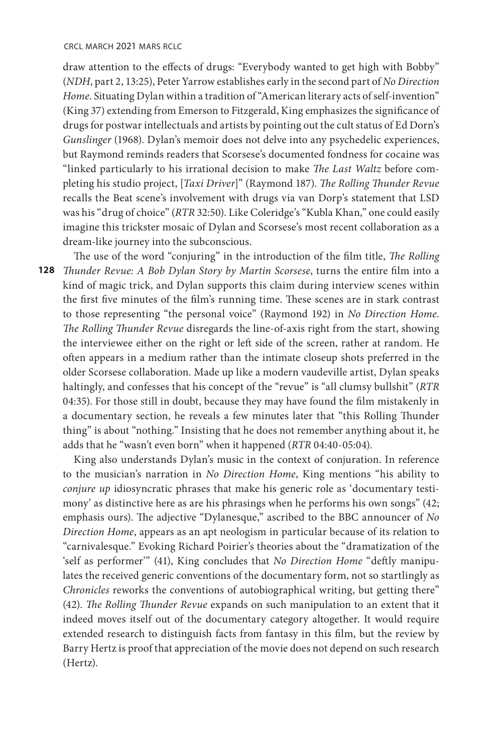draw attention to the effects of drugs: "Everybody wanted to get high with Bobby" (*NDH*, part 2, 13:25), Peter Yarrow establishes early in the second part of *No Direction Home*. Situating Dylan within a tradition of "American literary acts of self-invention" (King 37) extending from Emerson to Fitzgerald, King emphasizes the significance of drugs for postwar intellectuals and artists by pointing out the cult status of Ed Dorn's *Gunslinger* (1968). Dylan's memoir does not delve into any psychedelic experiences, but Raymond reminds readers that Scorsese's documented fondness for cocaine was "linked particularly to his irrational decision to make *The Last Waltz* before completing his studio project, [*Taxi Driver*]" (Raymond 187). *The Rolling Thunder Revue*  recalls the Beat scene's involvement with drugs via van Dorp's statement that LSD was his "drug of choice" (*RTR* 32:50). Like Coleridge's "Kubla Khan," one could easily imagine this trickster mosaic of Dylan and Scorsese's most recent collaboration as a dream-like journey into the subconscious.

**128**  *Thunder Revue: A Bob Dylan Story by Martin Scorsese*, turns the entire film into a The use of the word "conjuring" in the introduction of the film title, *The Rolling*  kind of magic trick, and Dylan supports this claim during interview scenes within the first five minutes of the film's running time. These scenes are in stark contrast to those representing "the personal voice" (Raymond 192) in *No Direction Home*. *The Rolling Thunder Revue* disregards the line-of-axis right from the start, showing the interviewee either on the right or left side of the screen, rather at random. He often appears in a medium rather than the intimate closeup shots preferred in the older Scorsese collaboration. Made up like a modern vaudeville artist, Dylan speaks haltingly, and confesses that his concept of the "revue" is "all clumsy bullshit" (*RTR*  04:35). For those still in doubt, because they may have found the film mistakenly in a documentary section, he reveals a few minutes later that "this Rolling Thunder thing" is about "nothing." Insisting that he does not remember anything about it, he adds that he "wasn't even born" when it happened (*RTR* 04:40-05:04).

King also understands Dylan's music in the context of conjuration. In reference to the musician's narration in *No Direction Home*, King mentions "his ability to *conjure up* idiosyncratic phrases that make his generic role as 'documentary testimony' as distinctive here as are his phrasings when he performs his own songs" (42; emphasis ours). The adjective "Dylanesque," ascribed to the BBC announcer of *No Direction Home*, appears as an apt neologism in particular because of its relation to "carnivalesque." Evoking Richard Poirier's theories about the "dramatization of the 'self as performer'" (41), King concludes that *No Direction Home* "deftly manipulates the received generic conventions of the documentary form, not so startlingly as *Chronicles* reworks the conventions of autobiographical writing, but getting there" (42). *The Rolling Thunder Revue* expands on such manipulation to an extent that it indeed moves itself out of the documentary category altogether. It would require extended research to distinguish facts from fantasy in this film, but the review by Barry Hertz is proof that appreciation of the movie does not depend on such research (Hertz).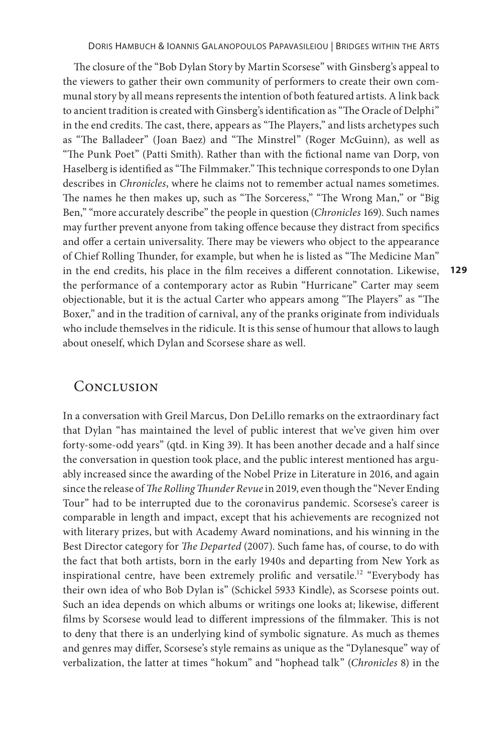The closure of the "Bob Dylan Story by Martin Scorsese" with Ginsberg's appeal to the viewers to gather their own community of performers to create their own communal story by all means represents the intention of both featured artists. A link back to ancient tradition is created with Ginsberg's identification as "The Oracle of Delphi" in the end credits. The cast, there, appears as "The Players," and lists archetypes such as "The Balladeer" (Joan Baez) and "The Minstrel" (Roger McGuinn), as well as "The Punk Poet" (Patti Smith). Rather than with the fictional name van Dorp, von Haselberg is identified as "The Filmmaker." This technique corresponds to one Dylan describes in *Chronicles*, where he claims not to remember actual names sometimes. The names he then makes up, such as "The Sorceress," "The Wrong Man," or "Big Ben," "more accurately describe" the people in question (*Chronicles* 169). Such names may further prevent anyone from taking offence because they distract from specifics and offer a certain universality. There may be viewers who object to the appearance of Chief Rolling Thunder, for example, but when he is listed as "The Medicine Man" in the end credits, his place in the film receives a different connotation. Likewise, the performance of a contemporary actor as Rubin "Hurricane" Carter may seem objectionable, but it is the actual Carter who appears among "The Players" as "The Boxer," and in the tradition of carnival, any of the pranks originate from individuals who include themselves in the ridicule. It is this sense of humour that allows to laugh about oneself, which Dylan and Scorsese share as well.

**129**

#### **CONCLUSION**

In a conversation with Greil Marcus, Don DeLillo remarks on the extraordinary fact that Dylan "has maintained the level of public interest that we've given him over forty-some-odd years" (qtd. in King 39). It has been another decade and a half since the conversation in question took place, and the public interest mentioned has arguably increased since the awarding of the Nobel Prize in Literature in 2016, and again since the release of *The Rolling Thunder Revue* in 2019, even though the "Never Ending Tour" had to be interrupted due to the coronavirus pandemic. Scorsese's career is comparable in length and impact, except that his achievements are recognized not with literary prizes, but with Academy Award nominations, and his winning in the Best Director category for *The Departed* (2007). Such fame has, of course, to do with the fact that both artists, born in the early 1940s and departing from New York as inspirational centre, have been extremely prolific and versatile.12 "Everybody has their own idea of who Bob Dylan is" (Schickel 5933 Kindle), as Scorsese points out. Such an idea depends on which albums or writings one looks at; likewise, different films by Scorsese would lead to different impressions of the filmmaker. This is not to deny that there is an underlying kind of symbolic signature. As much as themes and genres may differ, Scorsese's style remains as unique as the "Dylanesque" way of verbalization, the latter at times "hokum" and "hophead talk" (*Chronicles* 8) in the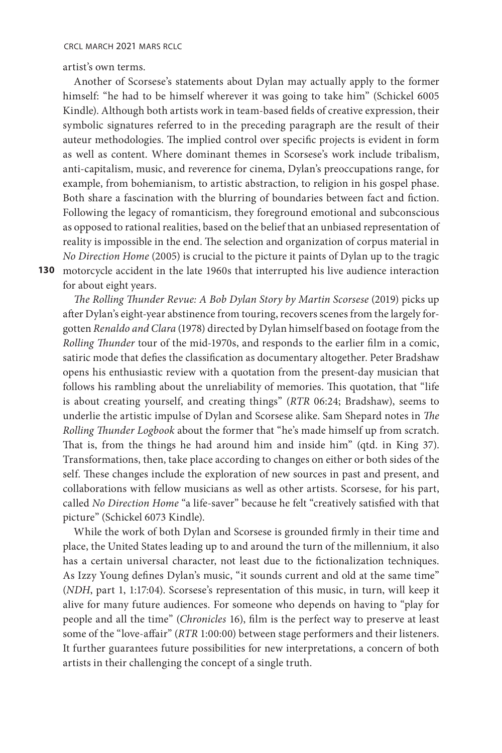artist's own terms.

**130**  motorcycle accident in the late 1960s that interrupted his live audience interaction Another of Scorsese's statements about Dylan may actually apply to the former himself: "he had to be himself wherever it was going to take him" (Schickel 6005 Kindle). Although both artists work in team-based fields of creative expression, their symbolic signatures referred to in the preceding paragraph are the result of their auteur methodologies. The implied control over specific projects is evident in form as well as content. Where dominant themes in Scorsese's work include tribalism, anti-capitalism, music, and reverence for cinema, Dylan's preoccupations range, for example, from bohemianism, to artistic abstraction, to religion in his gospel phase. Both share a fascination with the blurring of boundaries between fact and fiction. Following the legacy of romanticism, they foreground emotional and subconscious as opposed to rational realities, based on the belief that an unbiased representation of reality is impossible in the end. The selection and organization of corpus material in *No Direction Home* (2005) is crucial to the picture it paints of Dylan up to the tragic

for about eight years.

*The Rolling Thunder Revue: A Bob Dylan Story by Martin Scorsese* (2019) picks up after Dylan's eight-year abstinence from touring, recovers scenes from the largely forgotten *Renaldo and Clara* (1978) directed by Dylan himself based on footage from the *Rolling Thunder* tour of the mid-1970s, and responds to the earlier film in a comic, satiric mode that defies the classification as documentary altogether. Peter Bradshaw opens his enthusiastic review with a quotation from the present-day musician that follows his rambling about the unreliability of memories. This quotation, that "life is about creating yourself, and creating things" (*RTR* 06:24; Bradshaw), seems to underlie the artistic impulse of Dylan and Scorsese alike. Sam Shepard notes in *The Rolling Thunder Logbook* about the former that "he's made himself up from scratch. That is, from the things he had around him and inside him" (qtd. in King 37). Transformations, then, take place according to changes on either or both sides of the self. These changes include the exploration of new sources in past and present, and collaborations with fellow musicians as well as other artists. Scorsese, for his part, called *No Direction Home* "a life-saver" because he felt "creatively satisfied with that picture" (Schickel 6073 Kindle).

While the work of both Dylan and Scorsese is grounded firmly in their time and place, the United States leading up to and around the turn of the millennium, it also has a certain universal character, not least due to the fictionalization techniques. As Izzy Young defines Dylan's music, "it sounds current and old at the same time" (*NDH*, part 1, 1:17:04). Scorsese's representation of this music, in turn, will keep it alive for many future audiences. For someone who depends on having to "play for people and all the time" (*Chronicles* 16), film is the perfect way to preserve at least some of the "love-affair" (*RTR* 1:00:00) between stage performers and their listeners. It further guarantees future possibilities for new interpretations, a concern of both artists in their challenging the concept of a single truth.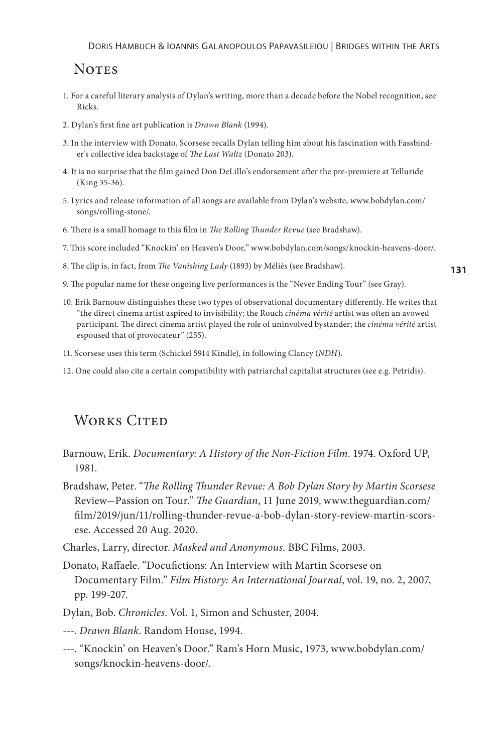### **NOTES**

- 1. For a careful literary analysis of Dylan's writing, more than a decade before the Nobel recognition, see Ricks.
- 2. Dylan's first fine art publication is *Drawn Blank* (1994).
- 3. In the interview with Donato, Scorsese recalls Dylan telling him about his fascination with Fassbinder's collective idea backstage of *The Last Waltz* (Donato 203).
- 4. It is no surprise that the film gained Don DeLillo's endorsement after the pre-premiere at Telluride (King 35-36).
- 5. Lyrics and release information of all songs are available from Dylan's website, www.bobdylan.com/ songs/rolling-stone/.
- 6. There is a small homage to this film in *The Rolling Thunder Revue* (see Bradshaw).
- 7. This score included "Knockin' on Heaven's Door," www.bobdylan.com/songs/knockin-heavens-door/.
- 8. The clip is, in fact, from *The Vanishing Lady* (1893) by Méliès (see Bradshaw).
- 9. The popular name for these ongoing live performances is the "Never Ending Tour" (see Gray).
- 10. Erik Barnouw distinguishes these two types of observational documentary differently. He writes that "the direct cinema artist aspired to invisibility; the Rouch *cinéma vérité* artist was often an avowed participant. The direct cinema artist played the role of uninvolved bystander; the *cinéma vérité* artist espoused that of provocateur" (255).
- 11. Scorsese uses this term (Schickel 5914 Kindle), in following Clancy (*NDH*).
- 12. One could also cite a certain compatibility with patriarchal capitalist structures (see e.g. Petridis).

## WORKS CITED

- Barnouw, Erik. *Documentary: A History of the Non-Fiction Film*. 1974. Oxford UP, 1981.
- Bradshaw, Peter. "*The Rolling Thunder Revue: A Bob Dylan Story by Martin Scorsese* Review-Passion on Tour." *The Guardian*, 11 June 2019, www.theguardian.com/ film/2019/jun/11/rolling-thunder-revue-a-bob-dylan-story-review-martin-scorsese. Accessed 20 Aug. 2020.
- Charles, Larry, director. *Masked and Anonymous.* BBC Films, 2003.
- Donato, Raffaele. "Docufictions: An Interview with Martin Scorsese on Documentary Film." *Film History: An International Journal*, vol. 19, no. 2, 2007, pp. 199-207.
- Dylan, Bob. *Chronicles*. Vol. 1, Simon and Schuster, 2004.
- ---. *Drawn Blank*. Random House, 1994.
- ---. "Knockin' on Heaven's Door." Ram's Horn Music, 1973, www.bobdylan.com/ songs/knockin-heavens-door/.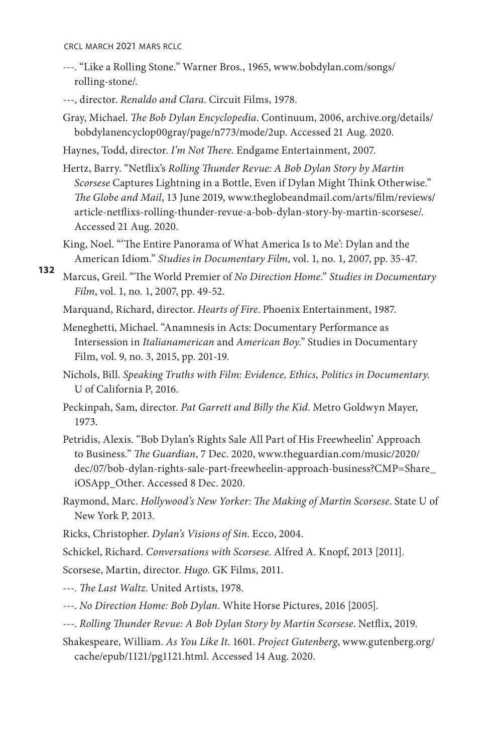- ---. "Like a Rolling Stone." Warner Bros., 1965, www.bobdylan.com/songs/ rolling-stone/.
- ---, director. *Renaldo and Clara*. Circuit Films, 1978.
- Gray, Michael. *The Bob Dylan Encyclopedia*. Continuum, 2006, archive.org/details/ bobdylanencyclop00gray/page/n773/mode/2up. Accessed 21 Aug. 2020.
- Haynes, Todd, director. *I'm Not There*. Endgame Entertainment, 2007.
- Hertz, Barry. "Netflix's *Rolling Thunder Revue: A Bob Dylan Story by Martin Scorsese* Captures Lightning in a Bottle, Even if Dylan Might Think Otherwise." *The Globe and Mail*, 13 June 2019, www.theglobeandmail.com/arts/film/reviews/ article-netflixs-rolling-thunder-revue-a-bob-dylan-story-by-martin-scorsese/. Accessed 21 Aug. 2020.
- King, Noel. "'The Entire Panorama of What America Is to Me': Dylan and the American Idiom." *Studies in Documentary Film*, vol. 1, no. 1, 2007, pp. 35-47.
- **132**  Marcus, Greil. "The World Premier of *No Direction Home*." *Studies in Documentary Film*, vol. 1, no. 1, 2007, pp. 49-52.
	- Marquand, Richard, director. *Hearts of Fire*. Phoenix Entertainment, 1987.
	- Meneghetti, Michael. "Anamnesis in Acts: Documentary Performance as Intersession in *Italianamerican* and *American Boy*." Studies in Documentary Film, vol. 9, no. 3, 2015, pp. 201-19.
	- Nichols, Bill. *Speaking Truths with Film: Evidence, Ethics, Politics in Documentary*. U of California P, 2016.
	- Peckinpah, Sam, director. *Pat Garrett and Billy the Kid*. Metro Goldwyn Mayer, 1973.
	- Petridis, Alexis. "Bob Dylan's Rights Sale All Part of His Freewheelin' Approach to Business." *The Guardian*, 7 Dec. 2020, www.theguardian.com/music/2020/ dec/07/bob-dylan-rights-sale-part-freewheelin-approach-business?CMP=Share\_ iOSApp\_Other. Accessed 8 Dec. 2020.
	- Raymond, Marc. *Hollywood's New Yorker: The Making of Martin Scorsese*. State U of New York P, 2013.
	- Ricks, Christopher. *Dylan's Visions of Sin*. Ecco, 2004.
	- Schickel, Richard. *Conversations with Scorsese*. Alfred A. Knopf, 2013 [2011].

Scorsese, Martin, director. *Hugo*. GK Films, 2011.

---. *The Last Waltz*. United Artists, 1978.

- ---. *No Direction Home: Bob Dylan*. White Horse Pictures, 2016 [2005].
- ---. *Rolling Thunder Revue: A Bob Dylan Story by Martin Scorsese*. Netflix, 2019.
- Shakespeare, William. *As You Like It*. 1601. *Project Gutenberg*, www.gutenberg.org/ cache/epub/1121/pg1121.html. Accessed 14 Aug. 2020.